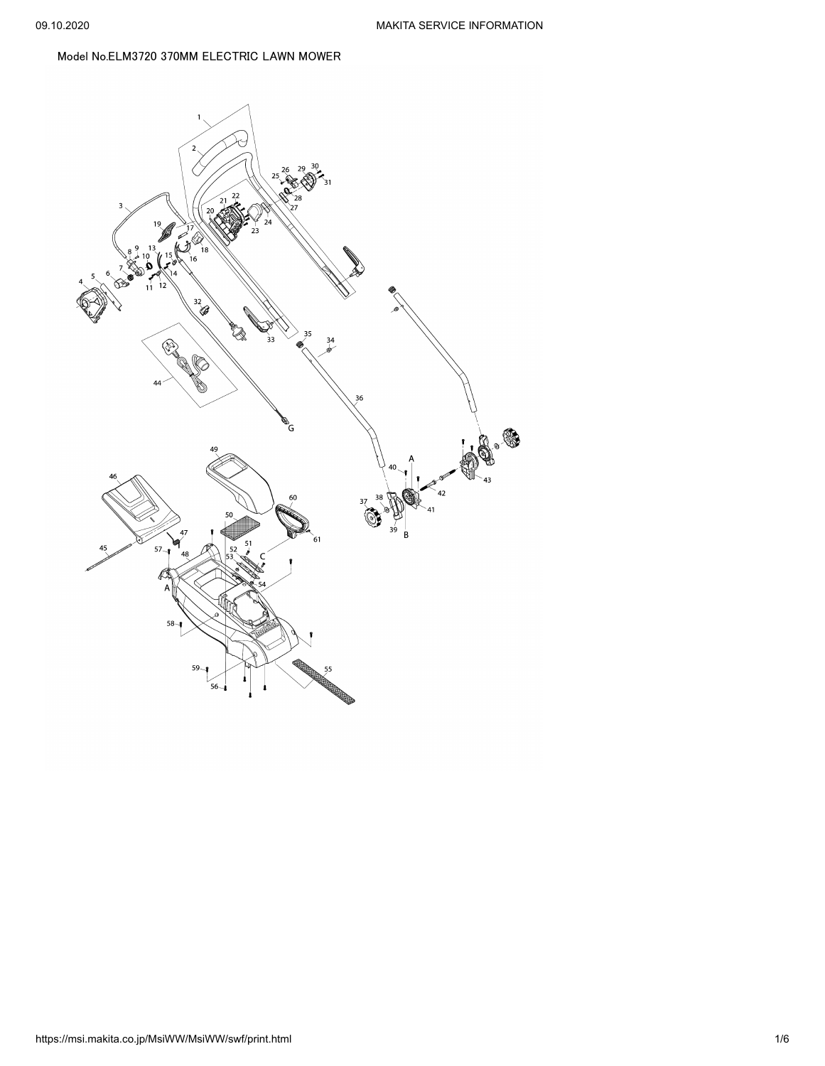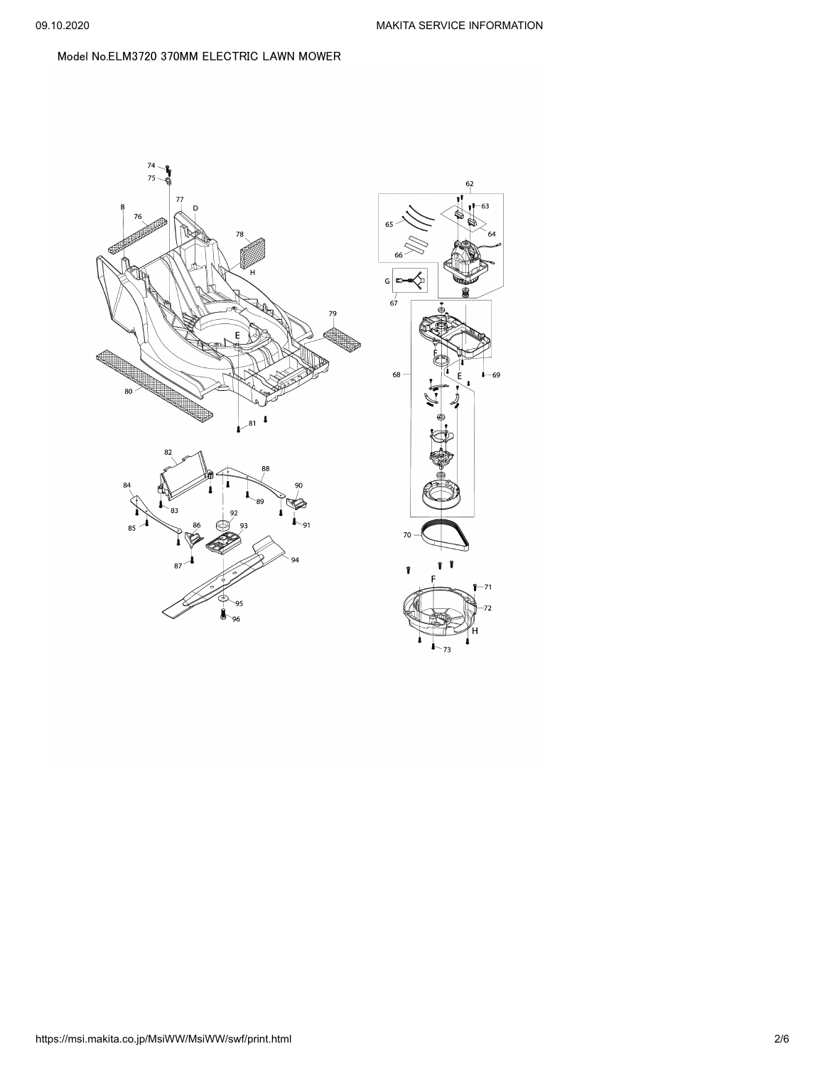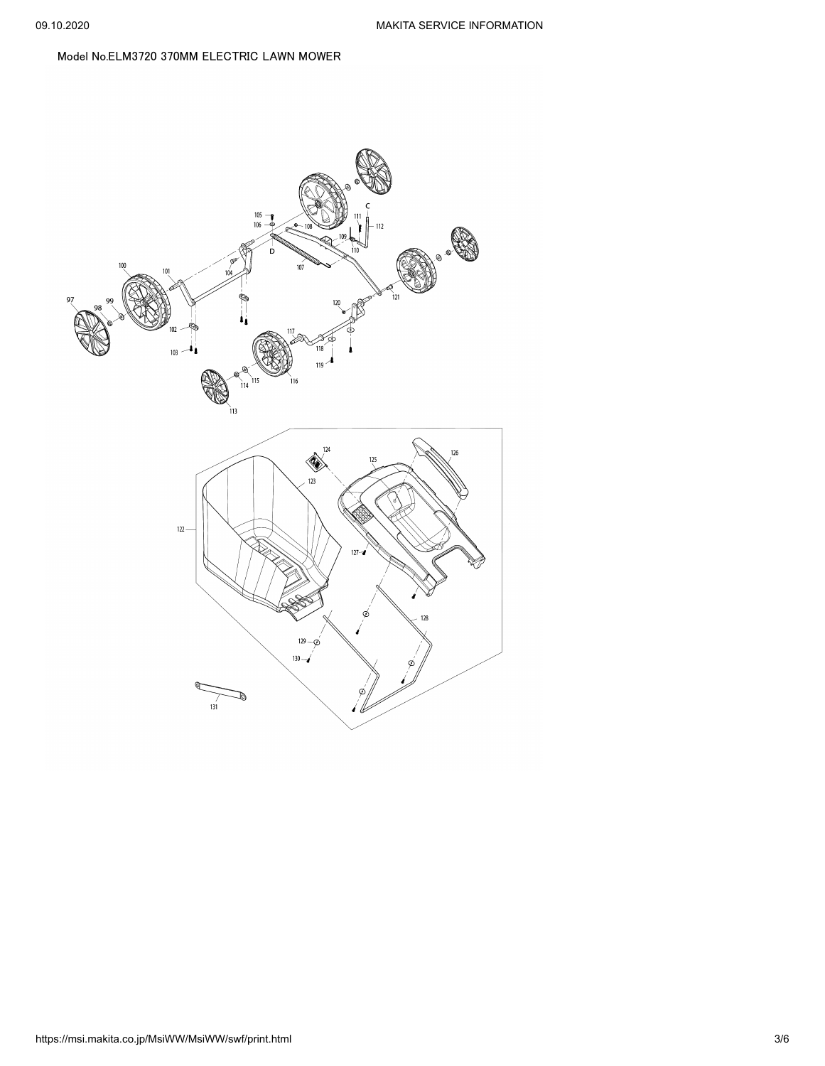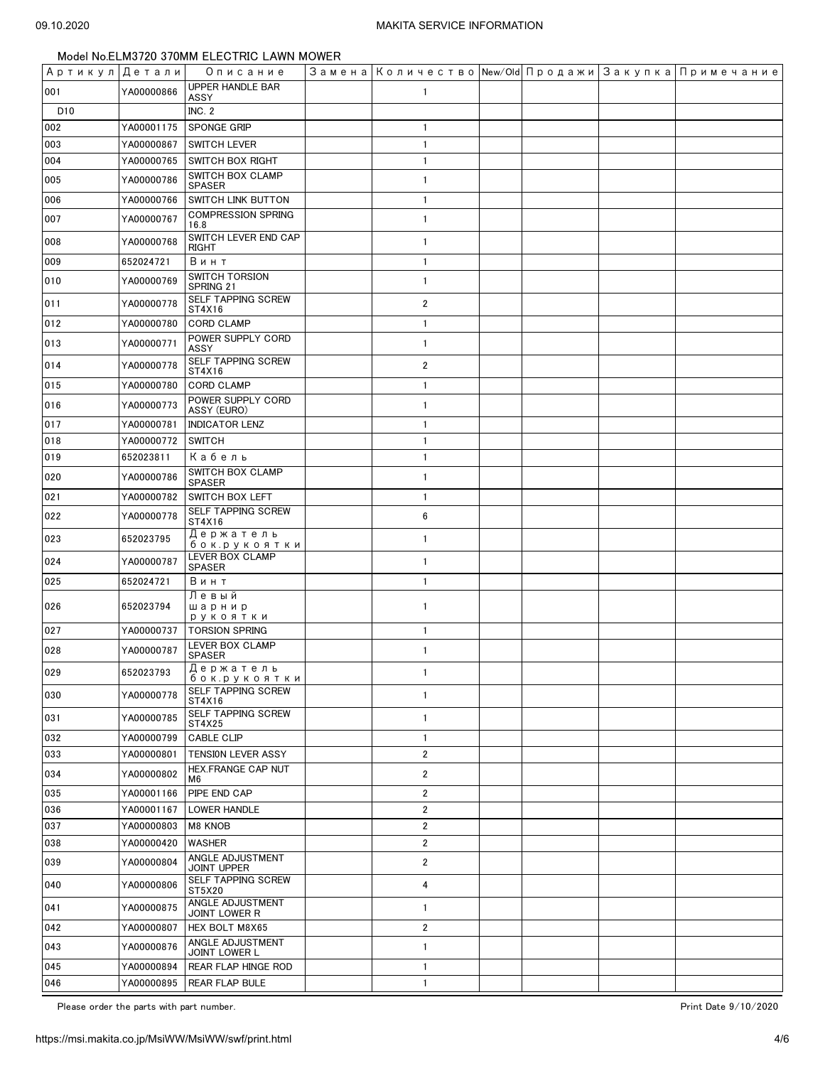| Артикул Детали  |            | Описание                               | Замена Количество New/Old Продажи Закупка Примечание |  |  |
|-----------------|------------|----------------------------------------|------------------------------------------------------|--|--|
| 001             | YA00000866 | <b>UPPER HANDLE BAR</b><br>ASSY        | $\mathbf{1}$                                         |  |  |
| D <sub>10</sub> |            | <b>INC. 2</b>                          |                                                      |  |  |
| 002             | YA00001175 | <b>SPONGE GRIP</b>                     | $\mathbf{1}$                                         |  |  |
| 003             | YA00000867 | <b>SWITCH LEVER</b>                    | $\mathbf{1}$                                         |  |  |
| 004             | YA00000765 | <b>SWITCH BOX RIGHT</b>                | $\mathbf{1}$                                         |  |  |
| 005             | YA00000786 | SWITCH BOX CLAMP<br><b>SPASER</b>      | 1                                                    |  |  |
| 006             | YA00000766 | SWITCH LINK BUTTON                     | $\mathbf{1}$                                         |  |  |
| 007             | YA00000767 | <b>COMPRESSION SPRING</b><br>16.8      | $\mathbf{1}$                                         |  |  |
| 008             | YA00000768 | SWITCH LEVER END CAP<br>RIGHT          | $\mathbf{1}$                                         |  |  |
| 009             | 652024721  | Винт                                   | $\mathbf{1}$                                         |  |  |
| 010             | YA00000769 | <b>SWITCH TORSION</b><br>SPRING 21     | $\mathbf{1}$                                         |  |  |
| 011             | YA00000778 | SELF TAPPING SCREW<br>ST4X16           | $\overline{2}$                                       |  |  |
| 012             | YA00000780 | <b>CORD CLAMP</b>                      | $\mathbf{1}$                                         |  |  |
| 013             | YA00000771 | POWER SUPPLY CORD<br>ASSY              | $\mathbf{1}$                                         |  |  |
| 014             | YA00000778 | SELF TAPPING SCREW<br>ST4X16           | $\overline{2}$                                       |  |  |
| 015             | YA00000780 | <b>CORD CLAMP</b>                      | $\mathbf{1}$                                         |  |  |
| 016             | YA00000773 | POWER SUPPLY CORD<br>ASSY (EURO)       | $\mathbf{1}$                                         |  |  |
| 017             | YA00000781 | <b>INDICATOR LENZ</b>                  | $\mathbf{1}$                                         |  |  |
| 018             | YA00000772 | <b>SWITCH</b>                          | $\mathbf{1}$                                         |  |  |
| 019             | 652023811  | Кабель                                 | $\mathbf{1}$                                         |  |  |
| 020             | YA00000786 | SWITCH BOX CLAMP<br><b>SPASER</b>      | $\mathbf{1}$                                         |  |  |
| 021             | YA00000782 | SWITCH BOX LEFT                        | $\mathbf{1}$                                         |  |  |
| 022             | YA00000778 | SELF TAPPING SCREW<br>ST4X16           | 6                                                    |  |  |
| 023             | 652023795  | Держатель<br>бок.ру <u>коятки</u>      | $\mathbf{1}$                                         |  |  |
| 024             | YA00000787 | LEVER BOX CLAMP<br><b>SPASER</b>       | 1                                                    |  |  |
| 025             | 652024721  | Винт                                   | $\mathbf{1}$                                         |  |  |
| 026             | 652023794  | Левый<br>шарнир<br>рукоятки            | $\mathbf{1}$                                         |  |  |
| 027             | YA00000737 | <b>TORSION SPRING</b>                  | $\mathbf{1}$                                         |  |  |
| 028             | YA00000787 | LEVER BOX CLAMP<br>SPASER              | $\mathbf{1}$                                         |  |  |
| 029             | 652023793  | Держатель<br>бок.рукоятки              | 1                                                    |  |  |
| 030             | YA00000778 | <b>SELF TAPPING SCREW</b><br>ST4X16    | $\mathbf{1}$                                         |  |  |
| 031             | YA00000785 | SELF TAPPING SCREW<br>ST4X25           | $\mathbf{1}$                                         |  |  |
| 032             | YA00000799 | CABLE CLIP                             | $\mathbf{1}$                                         |  |  |
| 033             | YA00000801 | TENSION LEVER ASSY                     | $\overline{2}$                                       |  |  |
| 034             | YA00000802 | HEX.FRANGE CAP NUT<br>M6               | $\overline{2}$                                       |  |  |
| 035             | YA00001166 | PIPE END CAP                           | $\overline{2}$                                       |  |  |
| 036             | YA00001167 | <b>LOWER HANDLE</b>                    | $\overline{2}$                                       |  |  |
| 037             | YA00000803 | M8 KNOB                                | $\overline{2}$                                       |  |  |
| 038             | YA00000420 | WASHER                                 | $\overline{2}$                                       |  |  |
| 039             | YA00000804 | ANGLE ADJUSTMENT<br><b>JOINT UPPER</b> | $\overline{2}$                                       |  |  |
| 040             | YA00000806 | SELF TAPPING SCREW<br>ST5X20           | 4                                                    |  |  |
| 041             | YA00000875 | ANGLE ADJUSTMENT<br>JOINT LOWER R      | 1                                                    |  |  |
| 042             | YA00000807 | HEX BOLT M8X65                         | 2                                                    |  |  |
| 043             | YA00000876 | ANGLE ADJUSTMENT<br>JOINT LOWER L      | 1                                                    |  |  |
| 045             | YA00000894 | REAR FLAP HINGE ROD                    | $\mathbf{1}$                                         |  |  |
| 046             | YA00000895 | <b>REAR FLAP BULE</b>                  | $\mathbf{1}$                                         |  |  |

Please order the parts with part number. The set of the set of the set of the set of the set of the set of the set of the set of the set of the set of the set of the set of the set of the set of the set of the set of the s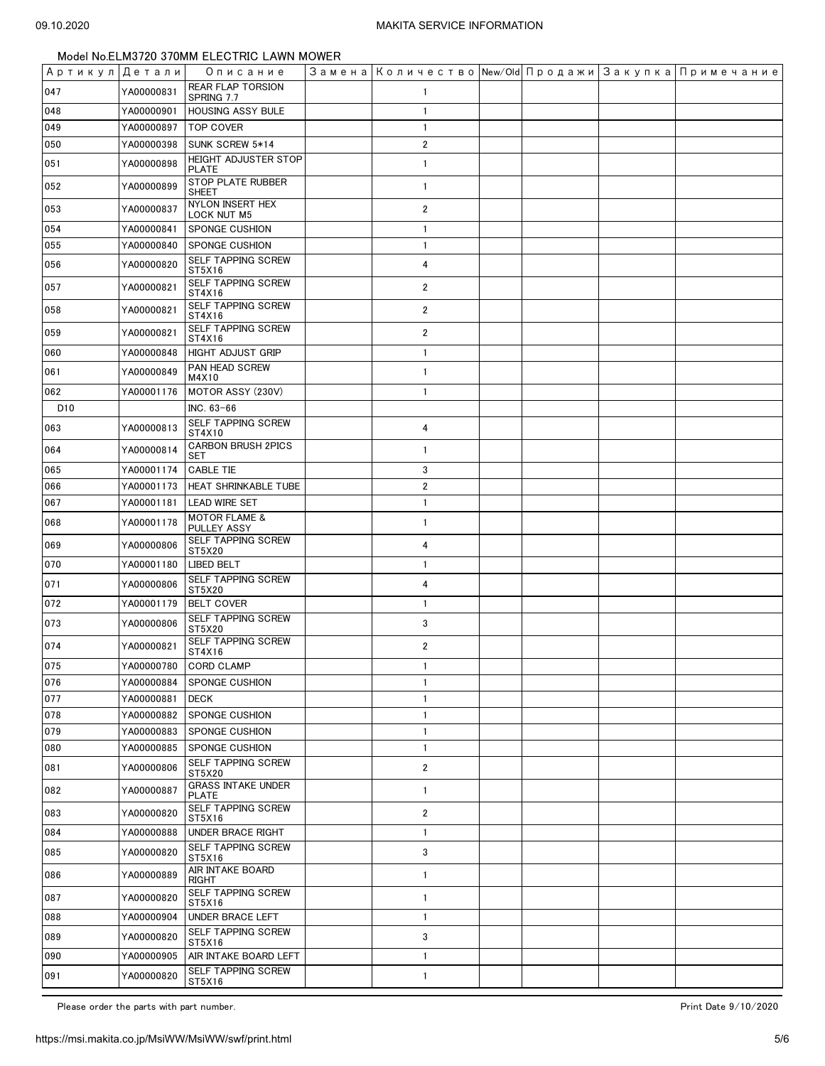| Артикул Детали  |            | Описание                                  | Замена   Количество   New/Old   Продажи   Закупка   Примечание |  |  |
|-----------------|------------|-------------------------------------------|----------------------------------------------------------------|--|--|
| 047             | YA00000831 | <b>REAR FLAP TORSION</b><br>SPRING 7.7    | 1                                                              |  |  |
| 048             | YA00000901 | HOUSING ASSY BULE                         | $\mathbf{1}$                                                   |  |  |
| 049             | YA00000897 | <b>TOP COVER</b>                          | $\mathbf{1}$                                                   |  |  |
| 050             | YA00000398 | SUNK SCREW 5*14                           | $\overline{2}$                                                 |  |  |
| 051             | YA00000898 | <b>HEIGHT ADJUSTER STOP</b><br>PLATE      | $\mathbf{1}$                                                   |  |  |
| 052             | YA00000899 | STOP PLATE RUBBER<br>SHEET                | $\mathbf{1}$                                                   |  |  |
| 053             | YA00000837 | NYLON INSERT HEX<br><b>LOCK NUT M5</b>    | $\overline{2}$                                                 |  |  |
| 054             | YA00000841 | <b>SPONGE CUSHION</b>                     | $\mathbf{1}$                                                   |  |  |
| 055             | YA00000840 | SPONGE CUSHION                            | $\mathbf{1}$                                                   |  |  |
| 056             | YA00000820 | SELF TAPPING SCREW<br>ST5X16              | 4                                                              |  |  |
| 057             | YA00000821 | SELF TAPPING SCREW<br>ST4X16              | $\overline{2}$                                                 |  |  |
| 058             | YA00000821 | SELF TAPPING SCREW<br>ST4X16              | $\overline{2}$                                                 |  |  |
| 059             | YA00000821 | SELF TAPPING SCREW<br>ST4X16              | $\overline{2}$                                                 |  |  |
| 060             | YA00000848 | <b>HIGHT ADJUST GRIP</b>                  | $\mathbf{1}$                                                   |  |  |
| 061             | YA00000849 | PAN HEAD SCREW<br>M4X10                   | $\mathbf{1}$                                                   |  |  |
| 062             | YA00001176 | MOTOR ASSY (230V)                         | $\mathbf{1}$                                                   |  |  |
| D <sub>10</sub> |            | INC. 63-66                                |                                                                |  |  |
| 063             | YA00000813 | SELF TAPPING SCREW<br>ST4X10              | 4                                                              |  |  |
| 064             | YA00000814 | <b>CARBON BRUSH 2PICS</b><br><b>SET</b>   | $\mathbf{1}$                                                   |  |  |
| 065             | YA00001174 | <b>CABLE TIE</b>                          | 3                                                              |  |  |
| 066             | YA00001173 | HEAT SHRINKABLE TUBE                      | $\sqrt{2}$                                                     |  |  |
| 067             | YA00001181 | <b>LEAD WIRE SET</b>                      | $\mathbf{1}$                                                   |  |  |
| 068             | YA00001178 | <b>MOTOR FLAME &amp;</b><br>PULLEY ASSY   | $\mathbf{1}$                                                   |  |  |
| 069             | YA00000806 | SELF TAPPING SCREW<br>ST5X20              | 4                                                              |  |  |
| 070             | YA00001180 | LIBED BELT                                | $\mathbf{1}$                                                   |  |  |
| 071             | YA00000806 | SELF TAPPING SCREW<br>ST5X20              | 4                                                              |  |  |
| 072             | YA00001179 | <b>BELT COVER</b>                         | $\mathbf{1}$                                                   |  |  |
| 073             | YA00000806 | SELF TAPPING SCREW<br>ST5X20              | 3                                                              |  |  |
| 074             | YA00000821 | SELF TAPPING SCREW<br>ST4X16              | $\overline{2}$                                                 |  |  |
| 075             |            | YA00000780 CORD CLAMP                     | $\mathbf{1}$                                                   |  |  |
| 076             | YA00000884 | <b>SPONGE CUSHION</b>                     | 1                                                              |  |  |
| 077             | YA00000881 | <b>DECK</b>                               | 1                                                              |  |  |
| 078             | YA00000882 | SPONGE CUSHION                            | 1                                                              |  |  |
| 079             | YA00000883 | <b>SPONGE CUSHION</b>                     | $\mathbf{1}$                                                   |  |  |
| 080             | YA00000885 | SPONGE CUSHION                            | $\mathbf{1}$                                                   |  |  |
| 081             | YA00000806 | SELF TAPPING SCREW<br>ST5X20              | $\overline{\mathbf{c}}$                                        |  |  |
| 082             | YA00000887 | <b>GRASS INTAKE UNDER</b><br><b>PLATE</b> | 1                                                              |  |  |
| 083             | YA00000820 | SELF TAPPING SCREW<br>ST5X16              | $\overline{\mathbf{c}}$                                        |  |  |
| 084             | YA00000888 | <b>UNDER BRACE RIGHT</b>                  | $\mathbf{1}$                                                   |  |  |
| 085             | YA00000820 | SELF TAPPING SCREW<br>ST5X16              | 3                                                              |  |  |
| 086             | YA00000889 | AIR INTAKE BOARD<br>RIGHT                 | 1                                                              |  |  |
| 087             | YA00000820 | SELF TAPPING SCREW<br>ST5X16              | $\mathbf{1}$                                                   |  |  |
| 088             | YA00000904 | UNDER BRACE LEFT                          | $\mathbf{1}$                                                   |  |  |
| 089             | YA00000820 | SELF TAPPING SCREW<br>ST5X16              | 3                                                              |  |  |
| 090             | YA00000905 | AIR INTAKE BOARD LEFT                     | 1                                                              |  |  |
| 091             | YA00000820 | SELF TAPPING SCREW<br>ST5X16              | $\mathbf{1}$                                                   |  |  |

Please order the parts with part number. The set of the set of the set of the set of the set of the set of the set of the set of the set of the set of the set of the set of the set of the set of the set of the set of the s